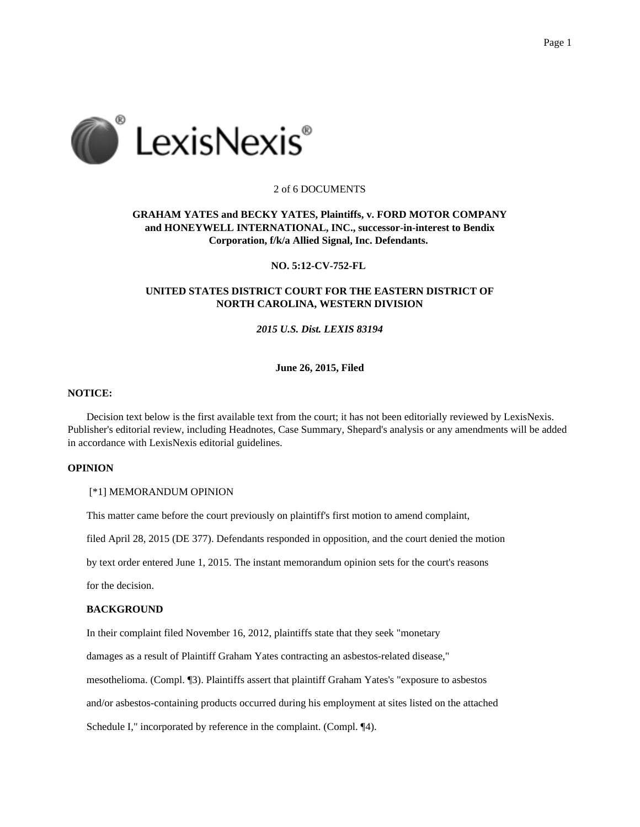

### 2 of 6 DOCUMENTS

## **GRAHAM YATES and BECKY YATES, Plaintiffs, v. FORD MOTOR COMPANY and HONEYWELL INTERNATIONAL, INC., successor-in-interest to Bendix Corporation, f/k/a Allied Signal, Inc. Defendants.**

### **NO. 5:12-CV-752-FL**

# **UNITED STATES DISTRICT COURT FOR THE EASTERN DISTRICT OF NORTH CAROLINA, WESTERN DIVISION**

# *2015 U.S. Dist. LEXIS 83194*

## **June 26, 2015, Filed**

### **NOTICE:**

Decision text below is the first available text from the court; it has not been editorially reviewed by LexisNexis. Publisher's editorial review, including Headnotes, Case Summary, Shepard's analysis or any amendments will be added in accordance with LexisNexis editorial guidelines.

## **OPINION**

#### [\*1] MEMORANDUM OPINION

This matter came before the court previously on plaintiff's first motion to amend complaint,

filed April 28, 2015 (DE 377). Defendants responded in opposition, and the court denied the motion

by text order entered June 1, 2015. The instant memorandum opinion sets for the court's reasons

for the decision.

## **BACKGROUND**

In their complaint filed November 16, 2012, plaintiffs state that they seek "monetary

damages as a result of Plaintiff Graham Yates contracting an asbestos-related disease,"

mesothelioma. (Compl. ¶3). Plaintiffs assert that plaintiff Graham Yates's "exposure to asbestos

and/or asbestos-containing products occurred during his employment at sites listed on the attached

Schedule I," incorporated by reference in the complaint. (Compl. ¶4).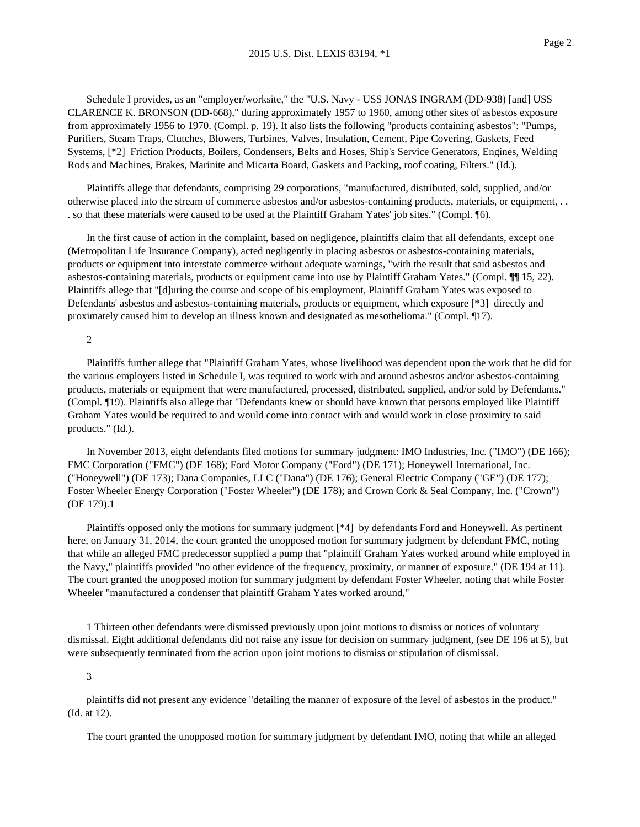Schedule I provides, as an "employer/worksite," the "U.S. Navy - USS JONAS INGRAM (DD-938) [and] USS CLARENCE K. BRONSON (DD-668)," during approximately 1957 to 1960, among other sites of asbestos exposure from approximately 1956 to 1970. (Compl. p. 19). It also lists the following "products containing asbestos": "Pumps, Purifiers, Steam Traps, Clutches, Blowers, Turbines, Valves, Insulation, Cement, Pipe Covering, Gaskets, Feed Systems, [\*2] Friction Products, Boilers, Condensers, Belts and Hoses, Ship's Service Generators, Engines, Welding Rods and Machines, Brakes, Marinite and Micarta Board, Gaskets and Packing, roof coating, Filters." (Id.).

Plaintiffs allege that defendants, comprising 29 corporations, "manufactured, distributed, sold, supplied, and/or otherwise placed into the stream of commerce asbestos and/or asbestos-containing products, materials, or equipment, . . . so that these materials were caused to be used at the Plaintiff Graham Yates' job sites." (Compl. ¶6).

In the first cause of action in the complaint, based on negligence, plaintiffs claim that all defendants, except one (Metropolitan Life Insurance Company), acted negligently in placing asbestos or asbestos-containing materials, products or equipment into interstate commerce without adequate warnings, "with the result that said asbestos and asbestos-containing materials, products or equipment came into use by Plaintiff Graham Yates." (Compl. ¶¶ 15, 22). Plaintiffs allege that "[d]uring the course and scope of his employment, Plaintiff Graham Yates was exposed to Defendants' asbestos and asbestos-containing materials, products or equipment, which exposure [\*3] directly and proximately caused him to develop an illness known and designated as mesothelioma." (Compl. ¶17).

### 2

Plaintiffs further allege that "Plaintiff Graham Yates, whose livelihood was dependent upon the work that he did for the various employers listed in Schedule I, was required to work with and around asbestos and/or asbestos-containing products, materials or equipment that were manufactured, processed, distributed, supplied, and/or sold by Defendants." (Compl. ¶19). Plaintiffs also allege that "Defendants knew or should have known that persons employed like Plaintiff Graham Yates would be required to and would come into contact with and would work in close proximity to said products." (Id.).

In November 2013, eight defendants filed motions for summary judgment: IMO Industries, Inc. ("IMO") (DE 166); FMC Corporation ("FMC") (DE 168); Ford Motor Company ("Ford") (DE 171); Honeywell International, Inc. ("Honeywell") (DE 173); Dana Companies, LLC ("Dana") (DE 176); General Electric Company ("GE") (DE 177); Foster Wheeler Energy Corporation ("Foster Wheeler") (DE 178); and Crown Cork & Seal Company, Inc. ("Crown") (DE 179).1

Plaintiffs opposed only the motions for summary judgment [\*4] by defendants Ford and Honeywell. As pertinent here, on January 31, 2014, the court granted the unopposed motion for summary judgment by defendant FMC, noting that while an alleged FMC predecessor supplied a pump that "plaintiff Graham Yates worked around while employed in the Navy," plaintiffs provided "no other evidence of the frequency, proximity, or manner of exposure." (DE 194 at 11). The court granted the unopposed motion for summary judgment by defendant Foster Wheeler, noting that while Foster Wheeler "manufactured a condenser that plaintiff Graham Yates worked around,"

1 Thirteen other defendants were dismissed previously upon joint motions to dismiss or notices of voluntary dismissal. Eight additional defendants did not raise any issue for decision on summary judgment, (see DE 196 at 5), but were subsequently terminated from the action upon joint motions to dismiss or stipulation of dismissal.

#### 3

plaintiffs did not present any evidence "detailing the manner of exposure of the level of asbestos in the product." (Id. at 12).

The court granted the unopposed motion for summary judgment by defendant IMO, noting that while an alleged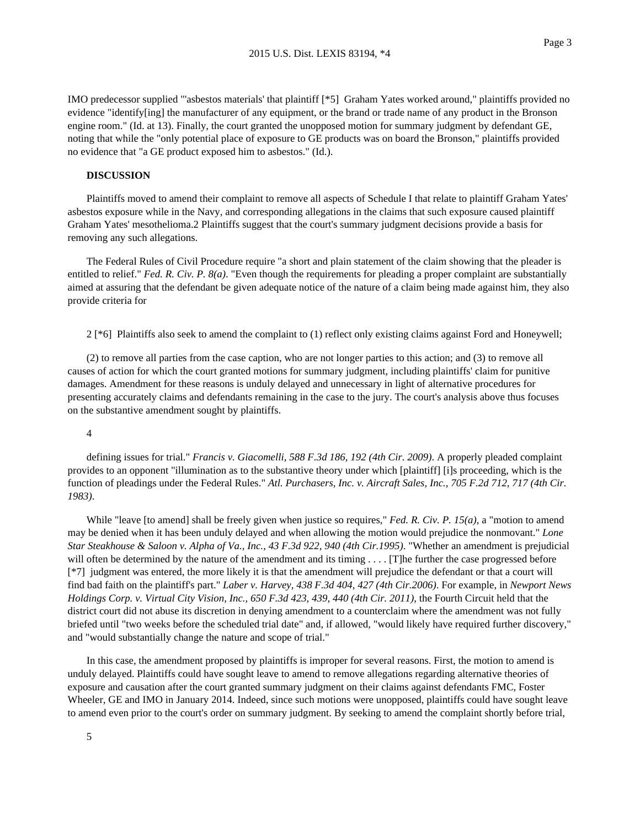IMO predecessor supplied "'asbestos materials' that plaintiff [\*5] Graham Yates worked around," plaintiffs provided no evidence "identify[ing] the manufacturer of any equipment, or the brand or trade name of any product in the Bronson engine room." (Id. at 13). Finally, the court granted the unopposed motion for summary judgment by defendant GE, noting that while the "only potential place of exposure to GE products was on board the Bronson," plaintiffs provided no evidence that "a GE product exposed him to asbestos." (Id.).

#### **DISCUSSION**

Plaintiffs moved to amend their complaint to remove all aspects of Schedule I that relate to plaintiff Graham Yates' asbestos exposure while in the Navy, and corresponding allegations in the claims that such exposure caused plaintiff Graham Yates' mesothelioma.2 Plaintiffs suggest that the court's summary judgment decisions provide a basis for removing any such allegations.

The Federal Rules of Civil Procedure require "a short and plain statement of the claim showing that the pleader is entitled to relief." *Fed. R. Civ. P. 8(a)*. "Even though the requirements for pleading a proper complaint are substantially aimed at assuring that the defendant be given adequate notice of the nature of a claim being made against him, they also provide criteria for

2 [\*6] Plaintiffs also seek to amend the complaint to (1) reflect only existing claims against Ford and Honeywell;

(2) to remove all parties from the case caption, who are not longer parties to this action; and (3) to remove all causes of action for which the court granted motions for summary judgment, including plaintiffs' claim for punitive damages. Amendment for these reasons is unduly delayed and unnecessary in light of alternative procedures for presenting accurately claims and defendants remaining in the case to the jury. The court's analysis above thus focuses on the substantive amendment sought by plaintiffs.

#### 4

defining issues for trial." *Francis v. Giacomelli, 588 F.3d 186, 192 (4th Cir. 2009)*. A properly pleaded complaint provides to an opponent "illumination as to the substantive theory under which [plaintiff] [i]s proceeding, which is the function of pleadings under the Federal Rules." *Atl. Purchasers, Inc. v. Aircraft Sales, Inc., 705 F.2d 712, 717 (4th Cir. 1983)*.

While "leave [to amend] shall be freely given when justice so requires," *Fed. R. Civ. P. 15(a)*, a "motion to amend may be denied when it has been unduly delayed and when allowing the motion would prejudice the nonmovant." *Lone Star Steakhouse & Saloon v. Alpha of Va., Inc., 43 F.3d 922, 940 (4th Cir.1995)*. "Whether an amendment is prejudicial will often be determined by the nature of the amendment and its timing . . . . [T]he further the case progressed before [\*7] judgment was entered, the more likely it is that the amendment will prejudice the defendant or that a court will find bad faith on the plaintiff's part." *Laber v. Harvey, 438 F.3d 404, 427 (4th Cir.2006)*. For example, in *Newport News Holdings Corp. v. Virtual City Vision, Inc., 650 F.3d 423, 439, 440 (4th Cir. 2011)*, the Fourth Circuit held that the district court did not abuse its discretion in denying amendment to a counterclaim where the amendment was not fully briefed until "two weeks before the scheduled trial date" and, if allowed, "would likely have required further discovery," and "would substantially change the nature and scope of trial."

In this case, the amendment proposed by plaintiffs is improper for several reasons. First, the motion to amend is unduly delayed. Plaintiffs could have sought leave to amend to remove allegations regarding alternative theories of exposure and causation after the court granted summary judgment on their claims against defendants FMC, Foster Wheeler, GE and IMO in January 2014. Indeed, since such motions were unopposed, plaintiffs could have sought leave to amend even prior to the court's order on summary judgment. By seeking to amend the complaint shortly before trial,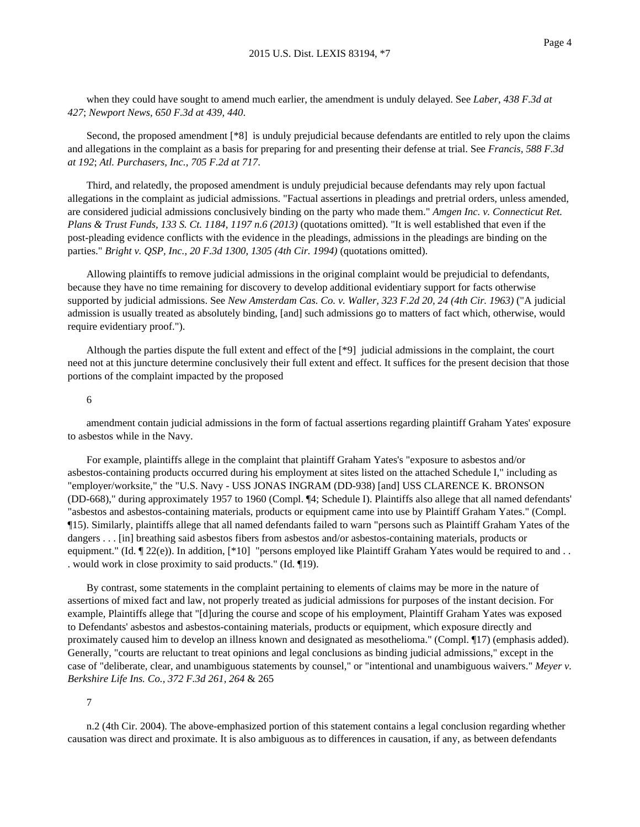when they could have sought to amend much earlier, the amendment is unduly delayed. See *Laber, 438 F.3d at 427*; *Newport News, 650 F.3d at 439, 440*.

Second, the proposed amendment [\*8] is unduly prejudicial because defendants are entitled to rely upon the claims and allegations in the complaint as a basis for preparing for and presenting their defense at trial. See *Francis, 588 F.3d at 192*; *Atl. Purchasers, Inc., 705 F.2d at 717*.

Third, and relatedly, the proposed amendment is unduly prejudicial because defendants may rely upon factual allegations in the complaint as judicial admissions. "Factual assertions in pleadings and pretrial orders, unless amended, are considered judicial admissions conclusively binding on the party who made them." *Amgen Inc. v. Connecticut Ret. Plans & Trust Funds, 133 S. Ct. 1184, 1197 n.6 (2013)* (quotations omitted). "It is well established that even if the post-pleading evidence conflicts with the evidence in the pleadings, admissions in the pleadings are binding on the parties." *Bright v. QSP, Inc., 20 F.3d 1300, 1305 (4th Cir. 1994)* (quotations omitted).

Allowing plaintiffs to remove judicial admissions in the original complaint would be prejudicial to defendants, because they have no time remaining for discovery to develop additional evidentiary support for facts otherwise supported by judicial admissions. See *New Amsterdam Cas. Co. v. Waller, 323 F.2d 20, 24 (4th Cir. 1963)* ("A judicial admission is usually treated as absolutely binding, [and] such admissions go to matters of fact which, otherwise, would require evidentiary proof.").

Although the parties dispute the full extent and effect of the [\*9] judicial admissions in the complaint, the court need not at this juncture determine conclusively their full extent and effect. It suffices for the present decision that those portions of the complaint impacted by the proposed

### 6

amendment contain judicial admissions in the form of factual assertions regarding plaintiff Graham Yates' exposure to asbestos while in the Navy.

For example, plaintiffs allege in the complaint that plaintiff Graham Yates's "exposure to asbestos and/or asbestos-containing products occurred during his employment at sites listed on the attached Schedule I," including as "employer/worksite," the "U.S. Navy - USS JONAS INGRAM (DD-938) [and] USS CLARENCE K. BRONSON (DD-668)," during approximately 1957 to 1960 (Compl. ¶4; Schedule I). Plaintiffs also allege that all named defendants' "asbestos and asbestos-containing materials, products or equipment came into use by Plaintiff Graham Yates." (Compl. ¶15). Similarly, plaintiffs allege that all named defendants failed to warn "persons such as Plaintiff Graham Yates of the dangers . . . [in] breathing said asbestos fibers from asbestos and/or asbestos-containing materials, products or equipment." (Id.  $\P$  22(e)). In addition, [\*10] "persons employed like Plaintiff Graham Yates would be required to and . . . would work in close proximity to said products." (Id. ¶19).

By contrast, some statements in the complaint pertaining to elements of claims may be more in the nature of assertions of mixed fact and law, not properly treated as judicial admissions for purposes of the instant decision. For example, Plaintiffs allege that "[d]uring the course and scope of his employment, Plaintiff Graham Yates was exposed to Defendants' asbestos and asbestos-containing materials, products or equipment, which exposure directly and proximately caused him to develop an illness known and designated as mesothelioma." (Compl. ¶17) (emphasis added). Generally, "courts are reluctant to treat opinions and legal conclusions as binding judicial admissions," except in the case of "deliberate, clear, and unambiguous statements by counsel," or "intentional and unambiguous waivers." *Meyer v. Berkshire Life Ins. Co., 372 F.3d 261, 264* & 265

## 7

n.2 (4th Cir. 2004). The above-emphasized portion of this statement contains a legal conclusion regarding whether causation was direct and proximate. It is also ambiguous as to differences in causation, if any, as between defendants